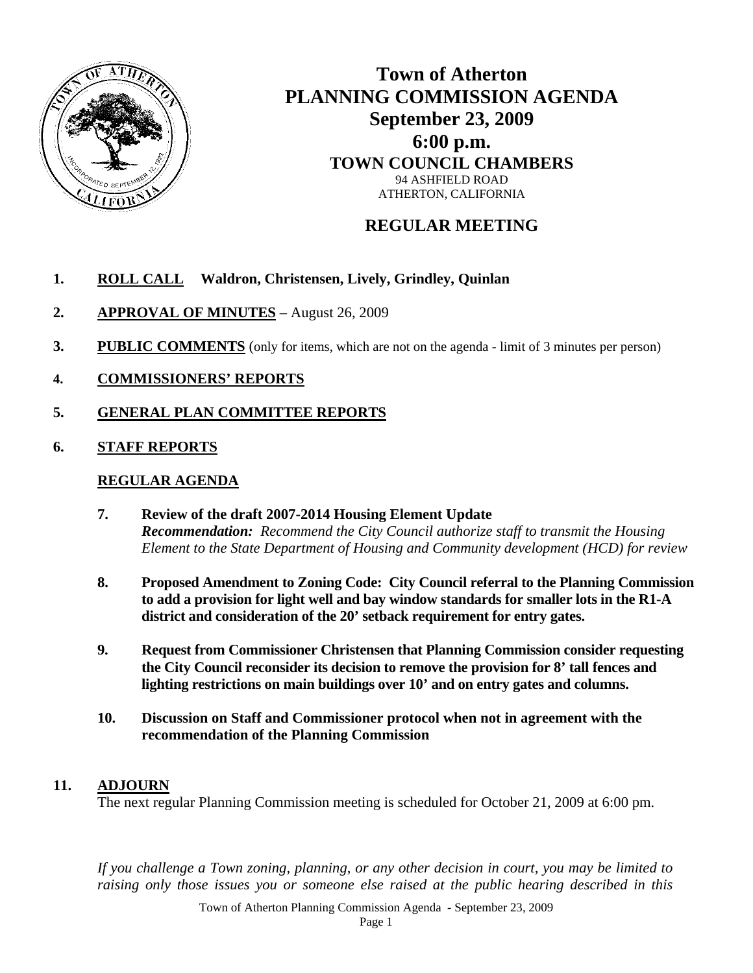

# **Town of Atherton PLANNING COMMISSION AGENDA September 23, 2009 6:00 p.m. TOWN COUNCIL CHAMBERS**  94 ASHFIELD ROAD ATHERTON, CALIFORNIA

## **REGULAR MEETING**

## **1. ROLL CALL Waldron, Christensen, Lively, Grindley, Quinlan**

- **2. APPROVAL OF MINUTES** August 26, 2009
- **3.** PUBLIC COMMENTS (only for items, which are not on the agenda limit of 3 minutes per person)
- **4. COMMISSIONERS' REPORTS**
- **5. GENERAL PLAN COMMITTEE REPORTS**
- **6. STAFF REPORTS**

#### **REGULAR AGENDA**

- **7. Review of the draft 2007-2014 Housing Element Update**  *Recommendation: Recommend the City Council authorize staff to transmit the Housing Element to the State Department of Housing and Community development (HCD) for review*
- **8. Proposed Amendment to Zoning Code: City Council referral to the Planning Commission to add a provision for light well and bay window standards for smaller lots in the R1-A district and consideration of the 20' setback requirement for entry gates.**
- **9. Request from Commissioner Christensen that Planning Commission consider requesting the City Council reconsider its decision to remove the provision for 8' tall fences and lighting restrictions on main buildings over 10' and on entry gates and columns.**
- **10. Discussion on Staff and Commissioner protocol when not in agreement with the recommendation of the Planning Commission**

### **11. ADJOURN**

The next regular Planning Commission meeting is scheduled for October 21, 2009 at 6:00 pm.

*If you challenge a Town zoning, planning, or any other decision in court, you may be limited to raising only those issues you or someone else raised at the public hearing described in this* 

Town of Atherton Planning Commission Agenda - September 23, 2009